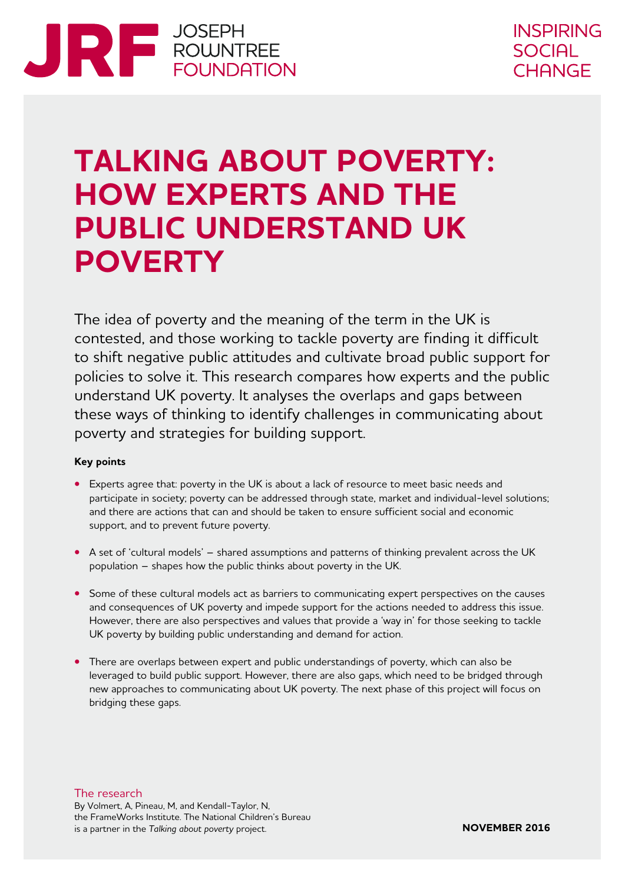

# **TALKING ABOUT POVERTY: HOW EXPERTS AND THE PUBLIC UNDERSTAND UK POVERTY**

The idea of poverty and the meaning of the term in the UK is contested, and those working to tackle poverty are finding it difficult to shift negative public attitudes and cultivate broad public support for policies to solve it. This research compares how experts and the public understand UK poverty. It analyses the overlaps and gaps between these ways of thinking to identify challenges in communicating about poverty and strategies for building support.

#### **Key points**

- **•** Experts agree that: poverty in the UK is about a lack of resource to meet basic needs and participate in society; poverty can be addressed through state, market and individual-level solutions; and there are actions that can and should be taken to ensure sufficient social and economic support, and to prevent future poverty.
- **•** A set of 'cultural models' shared assumptions and patterns of thinking prevalent across the UK population – shapes how the public thinks about poverty in the UK.
- Some of these cultural models act as barriers to communicating expert perspectives on the causes and consequences of UK poverty and impede support for the actions needed to address this issue. However, there are also perspectives and values that provide a 'way in' for those seeking to tackle UK poverty by building public understanding and demand for action.
- **•** There are overlaps between expert and public understandings of poverty, which can also be leveraged to build public support. However, there are also gaps, which need to be bridged through new approaches to communicating about UK poverty. The next phase of this project will focus on bridging these gaps.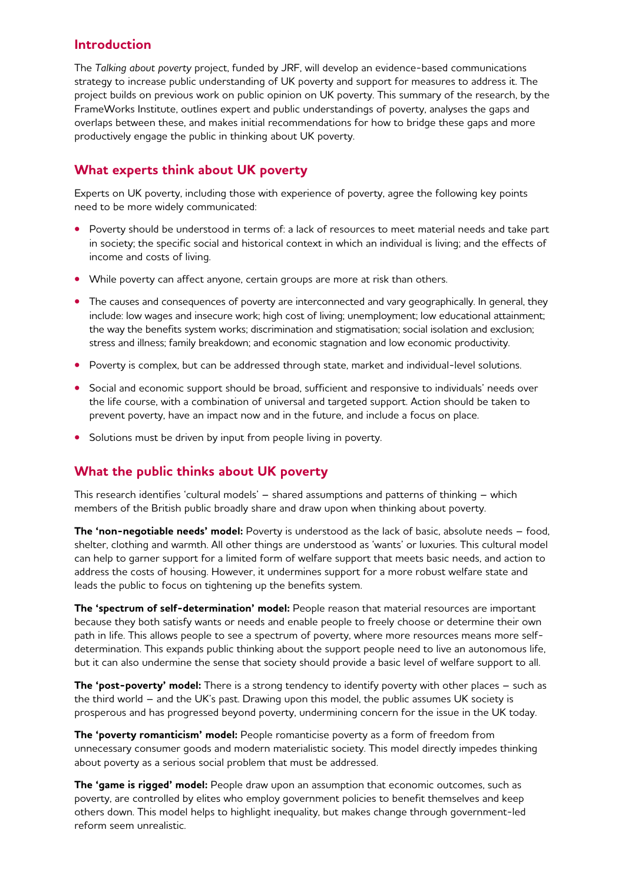#### **Introduction**

The *Talking about poverty* project, funded by JRF, will develop an evidence-based communications strategy to increase public understanding of UK poverty and support for measures to address it. The project builds on previous work on public opinion on UK poverty. This summary of the research, by the FrameWorks Institute, outlines expert and public understandings of poverty, analyses the gaps and overlaps between these, and makes initial recommendations for how to bridge these gaps and more productively engage the public in thinking about UK poverty.

### **What experts think about UK poverty**

Experts on UK poverty, including those with experience of poverty, agree the following key points need to be more widely communicated:

- **•** Poverty should be understood in terms of: a lack of resources to meet material needs and take part in society; the specific social and historical context in which an individual is living; and the effects of income and costs of living.
- **•** While poverty can affect anyone, certain groups are more at risk than others.
- The causes and consequences of poverty are interconnected and vary geographically. In general, they include: low wages and insecure work; high cost of living; unemployment; low educational attainment; the way the benefits system works; discrimination and stigmatisation; social isolation and exclusion; stress and illness; family breakdown; and economic stagnation and low economic productivity.
- **•** Poverty is complex, but can be addressed through state, market and individual-level solutions.
- **•** Social and economic support should be broad, sufficient and responsive to individuals' needs over the life course, with a combination of universal and targeted support. Action should be taken to prevent poverty, have an impact now and in the future, and include a focus on place.
- **•** Solutions must be driven by input from people living in poverty.

#### **What the public thinks about UK poverty**

This research identifies 'cultural models' – shared assumptions and patterns of thinking – which members of the British public broadly share and draw upon when thinking about poverty.

**The 'non-negotiable needs' model:** Poverty is understood as the lack of basic, absolute needs – food, shelter, clothing and warmth. All other things are understood as 'wants' or luxuries. This cultural model can help to garner support for a limited form of welfare support that meets basic needs, and action to address the costs of housing. However, it undermines support for a more robust welfare state and leads the public to focus on tightening up the benefits system.

**The 'spectrum of self-determination' model:** People reason that material resources are important because they both satisfy wants or needs and enable people to freely choose or determine their own path in life. This allows people to see a spectrum of poverty, where more resources means more selfdetermination. This expands public thinking about the support people need to live an autonomous life, but it can also undermine the sense that society should provide a basic level of welfare support to all.

**The 'post-poverty' model:** There is a strong tendency to identify poverty with other places – such as the third world – and the UK's past. Drawing upon this model, the public assumes UK society is prosperous and has progressed beyond poverty, undermining concern for the issue in the UK today.

**The 'poverty romanticism' model:** People romanticise poverty as a form of freedom from unnecessary consumer goods and modern materialistic society. This model directly impedes thinking about poverty as a serious social problem that must be addressed.

**The 'game is rigged' model:** People draw upon an assumption that economic outcomes, such as poverty, are controlled by elites who employ government policies to benefit themselves and keep others down. This model helps to highlight inequality, but makes change through government-led reform seem unrealistic.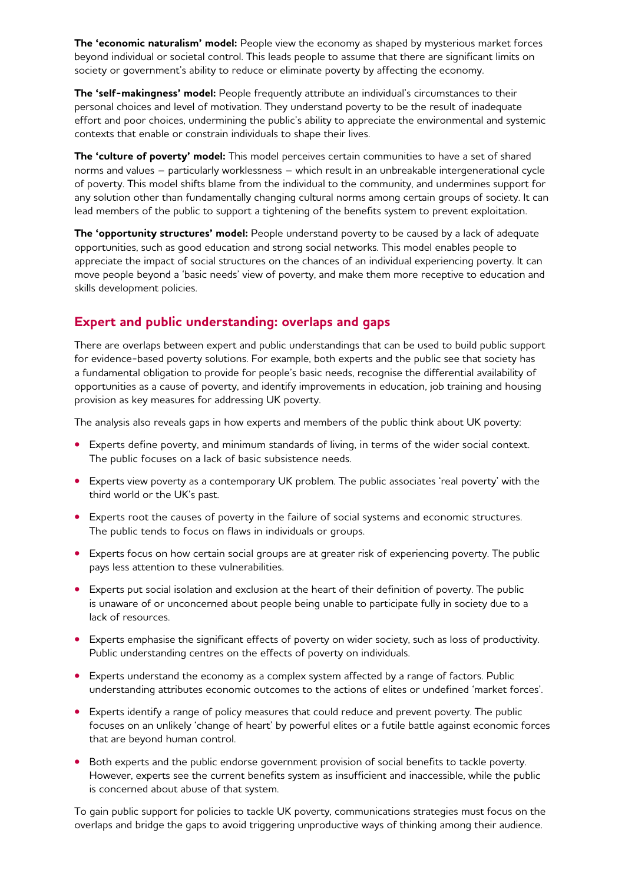**The 'economic naturalism' model:** People view the economy as shaped by mysterious market forces beyond individual or societal control. This leads people to assume that there are significant limits on society or government's ability to reduce or eliminate poverty by affecting the economy.

**The 'self-makingness' model:** People frequently attribute an individual's circumstances to their personal choices and level of motivation. They understand poverty to be the result of inadequate effort and poor choices, undermining the public's ability to appreciate the environmental and systemic contexts that enable or constrain individuals to shape their lives.

**The 'culture of poverty' model:** This model perceives certain communities to have a set of shared norms and values – particularly worklessness – which result in an unbreakable intergenerational cycle of poverty. This model shifts blame from the individual to the community, and undermines support for any solution other than fundamentally changing cultural norms among certain groups of society. It can lead members of the public to support a tightening of the benefits system to prevent exploitation.

**The 'opportunity structures' model:** People understand poverty to be caused by a lack of adequate opportunities, such as good education and strong social networks. This model enables people to appreciate the impact of social structures on the chances of an individual experiencing poverty. It can move people beyond a 'basic needs' view of poverty, and make them more receptive to education and skills development policies.

#### **Expert and public understanding: overlaps and gaps**

There are overlaps between expert and public understandings that can be used to build public support for evidence-based poverty solutions. For example, both experts and the public see that society has a fundamental obligation to provide for people's basic needs, recognise the differential availability of opportunities as a cause of poverty, and identify improvements in education, job training and housing provision as key measures for addressing UK poverty.

The analysis also reveals gaps in how experts and members of the public think about UK poverty:

- **•** Experts define poverty, and minimum standards of living, in terms of the wider social context. The public focuses on a lack of basic subsistence needs.
- **•** Experts view poverty as a contemporary UK problem. The public associates 'real poverty' with the third world or the UK's past.
- **•** Experts root the causes of poverty in the failure of social systems and economic structures. The public tends to focus on flaws in individuals or groups.
- **•** Experts focus on how certain social groups are at greater risk of experiencing poverty. The public pays less attention to these vulnerabilities.
- **•** Experts put social isolation and exclusion at the heart of their definition of poverty. The public is unaware of or unconcerned about people being unable to participate fully in society due to a lack of resources.
- **•** Experts emphasise the significant effects of poverty on wider society, such as loss of productivity. Public understanding centres on the effects of poverty on individuals.
- **•** Experts understand the economy as a complex system affected by a range of factors. Public understanding attributes economic outcomes to the actions of elites or undefined 'market forces'.
- **•** Experts identify a range of policy measures that could reduce and prevent poverty. The public focuses on an unlikely 'change of heart' by powerful elites or a futile battle against economic forces that are beyond human control.
- **•** Both experts and the public endorse government provision of social benefits to tackle poverty. However, experts see the current benefits system as insufficient and inaccessible, while the public is concerned about abuse of that system.

To gain public support for policies to tackle UK poverty, communications strategies must focus on the overlaps and bridge the gaps to avoid triggering unproductive ways of thinking among their audience.